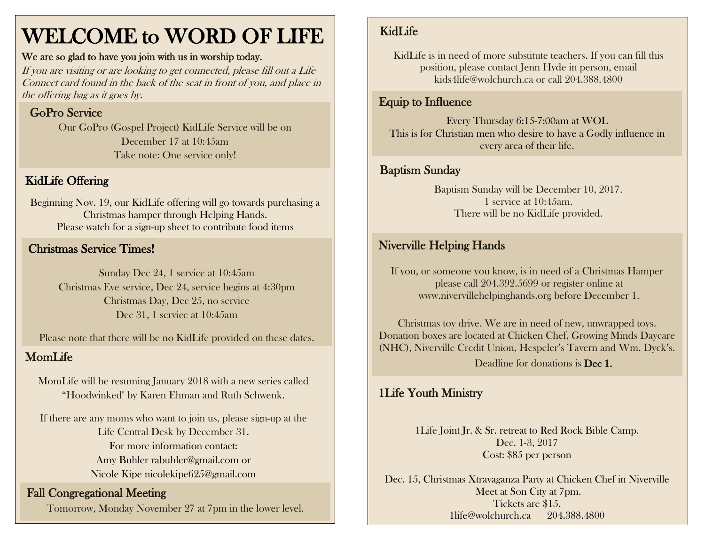# WELCOME to WORD OF LIFE

#### We are so glad to have you join with us in worship today.

If you are visiting or are looking to get connected, please fill out a Life Connect card found in the back of the seat in front of you, and place in the offering bag as it goes by.

# GoPro Service

Our GoPro (Gospel Project) KidLife Service will be on December 17 at 10:45am Take note: One service only!

# KidLife Offering

Beginning Nov. 19, our KidLife offering will go towards purchasing a Christmas hamper through Helping Hands. Please watch for a sign-up sheet to contribute food items

#### Christmas Service Times!

Sunday Dec 24, 1 service at 10:45am Christmas Eve service, Dec 24, service begins at 4:30pm Christmas Day, Dec 25, no service Dec 31, 1 service at 10:45am

Please note that there will be no KidLife provided on these dates.

### MomLife

MomLife will be resuming January 2018 with a new series called "Hoodwinked" by Karen Ehman and Ruth Schwenk.

If there are any moms who want to join us, please sign-up at the Life Central Desk by December 31. For more information contact: Amy Buhler [rabuhler@gmail.com](mailto:rabuhler@gmail.com) or Nicole Kipe [nicolekipe625@gmail.com](mailto:nicolekipe625@gmail.com)

#### Fall Congregational Meeting

Tomorrow, Monday November 27 at 7pm in the lower level.

# KidLife

KidLife is in need of more substitute teachers. If you can fill this position, please contact Jenn Hyde in person, email kids4life@wolchurch.ca or call 204.388.4800

# Equip to Influence

Every Thursday 6:15-7:00am at WOL This is for Christian men who desire to have a Godly influence in every area of their life.

# **Baptism Sunday Baptism Sunday**

Baptism Sunday will be December 10, 2017. 1 service at 10:45am. There will be no KidLife provided.

# Niverville Helping Hands

If you, or someone you know, is in need of a Christmas Hamper please call 204.392.5699 or register online at www.nivervillehelpinghands.org before December 1.

Christmas toy drive. We are in need of new, unwrapped toys. Donation boxes are located at Chicken Chef, Growing Minds Daycare (NHC), Niverville Credit Union, Hespeler's Tavern and Wm. Dyck's.

Deadline for donations is **Dec 1.** 

### 1Life Youth Ministry

1Life Joint Jr. & Sr. retreat to Red Rock Bible Camp. Dec. 1-3, 2017 Cost: \$85 per person

Dec. 15, Christmas Xtravaganza Party at Chicken Chef in Niverville Meet at Son City at 7pm. Tickets are \$15. 1life@wolchurch.ca 204.388.4800